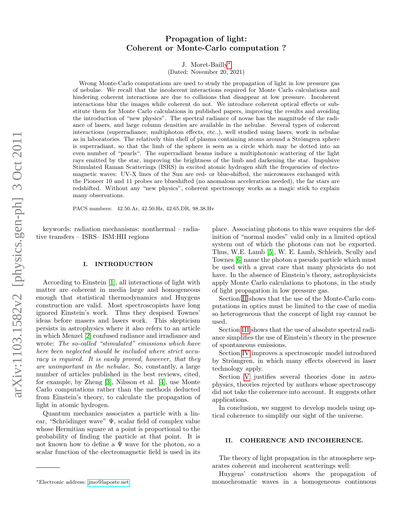# Propagation of light: Coherent or Monte-Carlo computation ?

J. Moret-Bailly[∗](#page-0-0)

(Dated: November 20, 2021)

Wrong Monte-Carlo computations are used to study the propagation of light in low pressure gas of nebulae. We recall that the incoherent interactions required for Monte Carlo calculations and hindering coherent interactions are due to collisions that disappear at low pressure. Incoherent interactions blur the images while coherent do not. We introduce coherent optical effects or substitute them for Monte Carlo calculations in published papers, improving the results and avoiding the introduction of "new physics". The spectral radiance of novae has the magnitude of the radiance of lasers, and large column densities are available in the nebulae. Several types of coherent interactions (superradiance, multiphoton effects, etc..), well studied using lasers, work in nebulae as in laboratories. The relatively thin shell of plasma containing atoms around a Strömgren sphere is superradiant, so that the limb of the sphere is seen as a circle which may be dotted into an even number of "pearls". The superradiant beams induce a multiphotonic scattering of the light rays emitted by the star, improving the brightness of the limb and darkening the star. Impulsive Stimulated Raman Scatterings (ISRS) in excited atomic hydrogen shift the frequencies of electromagnetic waves: UV-X lines of the Sun are red- or blue-shifted, the microwaves exchanged with the Pioneer 10 and 11 probes are blueshifted (no anomalous acceleration needed), the far stars are redshifted. Without any "new physics", coherent spectroscopy works as a magic stick to explain many observations.

PACS numbers: 42.50.Ar, 42.50.Hz, 42.65.DR, 98.38.Hv

keywords: radiation mechanisms: nonthermal – radiative transfers – ISRS– ISM:HII regions

#### I. INTRODUCTION

According to Einstein [\[1\]](#page-8-0), all interactions of light with matter are coherent in media large and homogeneous enough that statistical thermodynamics and Huygens construction are valid. Most spectroscopists have long ignored Einstein's work. Thus they despised Townes' ideas before masers and lasers work. This skepticism persists in astrophysics where it also refers to an article in which Menzel [\[2\]](#page-8-1) confused radiance and irradiance and wrote: The so-called "stimulated" emissions which have here been neglected should be included where strict accuracy is required. It is easily proved, however, that they are unimportant in the nebulae. So, constantly, a large number of articles published in the best reviews, cited, for example, by Zheng [\[3\]](#page-8-2), Nilsson et al. [\[4\]](#page-8-3), use Monte Carlo computations rather than the methods deducted from Einstein's theory, to calculate the propagation of light in atomic hydrogen.

Quantum mechanics associates a particle with a linear, "Schrödinger wave"  $\Psi$ , scalar field of complex value whose Hermitian square at a point is proportional to the probability of finding the particle at that point. It is not known how to define a  $\Psi$  wave for the photon, so a scalar function of the electromagnetic field is used in its

place. Associating photons to this wave requires the definition of "normal modes" valid only in a limited optical system out of which the photons can not be exported. Thus, W.E. Lamb [\[5\]](#page-8-4), W. E. Lamb, Schleich, Scully and Townes [\[6\]](#page-8-5) name the photon a pseudo particle which must be used with a great care that many physicists do not have. In the absence of Einstein's theory, astrophysicists apply Monte Carlo calculations to photons, in the study of light propagation in low pressure gas.

Section [II](#page-0-1) shows that the use of the Monte-Carlo computations in optics must be limited to the case of media so heterogeneous that the concept of light ray cannot be used.

Section [III](#page-1-0) shows that the use of absolute spectral radiance simplifies the use of Einstein's theory in the presence of spontaneous emissions.

Section [IV](#page-1-1) improves a spectroscopic model introduced by Strömgren, in which many effects observed in laser technology apply.

Section [V](#page-4-0) justifies several theories done in astrophysics, theories rejected by authors whose spectroscopy did not take the coherence into account. It suggests other applications.

In conclusion, we suggest to develop models using optical coherence to simplify our sight of the universe.

# <span id="page-0-1"></span>II. COHERENCE AND INCOHERENCE.

The theory of light propagation in the atmosphere separates coherent and incoherent scatterings well:

Huygens' construction shows the propagation of monochromatic waves in a homogeneous continuous

<span id="page-0-0"></span><sup>∗</sup>Electronic address: [jmo@laposte.net](mailto:jmo@laposte.net)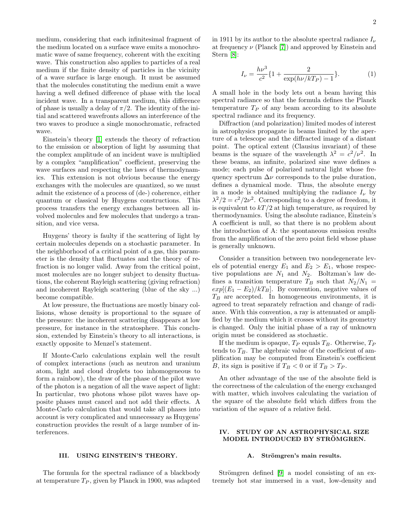medium, considering that each infinitesimal fragment of the medium located on a surface wave emits a monochromatic wave of same frequency, coherent with the exciting wave. This construction also applies to particles of a real medium if the finite density of particles in the vicinity of a wave surface is large enough. It must be assumed that the molecules constituting the medium emit a wave having a well defined difference of phase with the local incident wave. In a transparent medium, this difference of phase is usually a delay of  $\pi/2$ . The identity of the initial and scattered wavefronts allows an interference of the two waves to produce a single monochromatic, refracted wave.

Einstein's theory [\[1\]](#page-8-0) extends the theory of refraction to the emission or absorption of light by assuming that the complex amplitude of an incident wave is multiplied by a complex "amplification" coefficient, preserving the wave surfaces and respecting the laws of thermodynamics. This extension is not obvious because the energy exchanges with the molecules are quantized, so we must admit the existence of a process of (de-) coherence, either quantum or classical by Huygens constructions. This process transfers the energy exchanges between all involved molecules and few molecules that undergo a transition, and vice versa.

Huygens' theory is faulty if the scattering of light by certain molecules depends on a stochastic parameter. In the neighborhood of a critical point of a gas, this parameter is the density that fluctuates and the theory of refraction is no longer valid. Away from the critical point, most molecules are no longer subject to density fluctuations, the coherent Rayleigh scattering (giving refraction) and incoherent Rayleigh scattering (blue of the sky ...) become compatible.

At low pressure, the fluctuations are mostly binary collisions, whose density is proportional to the square of the pressure: the incoherent scattering disappears at low pressure, for instance in the stratosphere. This conclusion, extended by Einstein's theory to all interactions, is exactly opposite to Menzel's statement.

If Monte-Carlo calculations explain well the result of complex interactions (such as neutron and uranium atom, light and cloud droplets too inhomogeneous to form a rainbow), the draw of the phase of the pilot wave of the photon is a negation of all the wave aspect of light: In particular, two photons whose pilot waves have opposite phases must cancel and not add their effects. A Monte-Carlo calculation that would take all phases into account is very complicated and unnecessary as Huygens' construction provides the result of a large number of interferences.

<span id="page-1-0"></span>The formula for the spectral radiance of a blackbody at temperature  $T_P$ , given by Planck in 1900, was adapted in 1911 by its author to the absolute spectral radiance  $I_{\nu}$ at frequency  $\nu$  (Planck [\[7\]](#page-8-6)) and approved by Einstein and Stern [\[8\]](#page-8-7):

$$
I_{\nu} = \frac{h\nu^3}{c^2} \{ 1 + \frac{2}{\exp(h\nu/kT_P) - 1} \}.
$$
 (1)

A small hole in the body lets out a beam having this spectral radiance so that the formula defines the Planck temperature  $T_P$  of any beam according to its absolute spectral radiance and its frequency.

Diffraction (and polarization) limited modes of interest in astrophysics propagate in beams limited by the aperture of a telescope and the diffracted image of a distant point. The optical extent (Clausius invariant) of these beams is the square of the wavelength  $\lambda^2 = c^2/\nu^2$ . In these beams, an infinite, polarized sine wave defines a mode; each pulse of polarized natural light whose frequency spectrum  $\Delta \nu$  corresponds to the pulse duration, defines a dynamical mode. Thus, the absolute energy in a mode is obtained multiplying the radiance  $I_{\nu}$  by  $\lambda^2/2 = c^2/2\nu^2$ . Corresponding to a degree of freedom, it is equivalent to  $kT/2$  at high temperature, as required by thermodynamics. Using the absolute radiance, Einstein's A coefficient is null, so that there is no problem about the introduction of A: the spontaneous emission results from the amplification of the zero point field whose phase is generally unknown.

Consider a transition between two nondegenerate levels of potential energy  $E_1$  and  $E_2 > E_1$ , whose respective populations are  $N_1$  and  $N_2$ . Boltzman's law defines a transition temperature  $T_B$  such that  $N_2/N_1$  =  $exp[(E_1 - E_2)/kT_B]$ . By convention, negative values of  $T_B$  are accepted. In homogeneous environments, it is agreed to treat separately refraction and change of radiance. With this convention, a ray is attenuated or amplified by the medium which it crosses without its geometry is changed. Only the initial phase of a ray of unknown origin must be considered as stochastic.

If the medium is opaque,  $T_P$  equals  $T_B$ . Otherwise,  $T_P$ tends to  $T_B$ . The algebraic value of the coefficient of amplification may be computed from Einstein's coefficient B, its sign is positive if  $T_B < 0$  or if  $T_B > T_P$ .

An other advantage of the use of the absolute field is the correctness of the calculation of the energy exchanged with matter, which involves calculating the variation of the square of the absolute field which differs from the variation of the square of a relative field.

# <span id="page-1-1"></span>IV. STUDY OF AN ASTROPHYSICAL SIZE MODEL INTRODUCED BY STRÖMGREN.

## A. Strömgren's main results.

Strömgren defined  $[9]$  a model consisting of an extremely hot star immersed in a vast, low-density and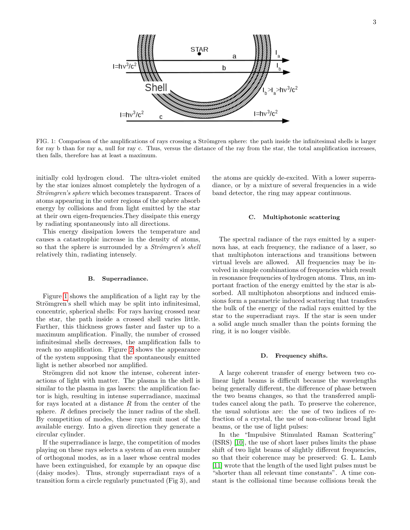

<span id="page-2-0"></span>FIG. 1: Comparison of the amplifications of rays crossing a Strömgren sphere: the path inside the infinitesimal shells is larger for ray b than for ray a, null for ray c. Thus, versus the distance of the ray from the star, the total amplification increases, then falls, therefore has at least a maximum.

initially cold hydrogen cloud. The ultra-violet emited by the star ionizes almost completely the hydrogen of a Strömgren's sphere which becomes transparent. Traces of atoms appearing in the outer regions of the sphere absorb energy by collisions and from light emitted by the star at their own eigen-frequencies.They dissipate this energy by radiating spontaneously into all directions.

This energy dissipation lowers the temperature and causes a catastrophic increase in the density of atoms, so that the sphere is surrounded by a *Strömgren's shell* relatively thin, radiating intensely.

#### B. Superradiance.

Figure [1](#page-2-0) shows the amplification of a light ray by the Strömgren's shell which may be split into infinitesimal, concentric, spherical shells: For rays having crossed near the star, the path inside a crossed shell varies little. Farther, this thickness grows faster and faster up to a maximum amplification. Finally, the number of crossed infinitesimal shells decreases, the amplification falls to reach no amplification. Figure [2](#page-3-0) shows the appearance of the system supposing that the spontaneously emitted light is nether absorbed nor amplified.

Strömgren did not know the intense, coherent interactions of light with matter. The plasma in the shell is similar to the plasma in gas lasers: the amplification factor is high, resulting in intense superradiance, maximal for rays located at a distance  $R$  from the center of the sphere. R defines precisely the inner radius of the shell. By competition of modes, these rays emit most of the available energy. Into a given direction they generate a circular cylinder.

If the superradiance is large, the competition of modes playing on these rays selects a system of an even number of orthogonal modes, as in a laser whose central modes have been extinguished, for example by an opaque disc (daisy modes). Thus, strongly superradiant rays of a transition form a circle regularly punctuated (Fig 3), and

the atoms are quickly de-excited. With a lower superradiance, or by a mixture of several frequencies in a wide band detector, the ring may appear continuous.

# C. Multiphotonic scattering

The spectral radiance of the rays emitted by a supernova has, at each frequency, the radiance of a laser, so that multiphoton interactions and transitions between virtual levels are allowed. All frequencies may be involved in simple combinations of frequencies which result in resonance frequencies of hydrogen atoms. Thus, an important fraction of the energy emitted by the star is absorbed. All multiphoton absorptions and induced emissions form a parametric induced scattering that transfers the bulk of the energy of the radial rays emitted by the star to the superradiant rays. If the star is seen under a solid angle much smaller than the points forming the ring, it is no longer visible.

#### D. Frequency shifts.

A large coherent transfer of energy between two colinear light beams is difficult because the wavelengths being generally different, the difference of phase between the two beams changes, so that the transferred amplitudes cancel along the path. To preserve the coherence, the usual solutions are: the use of two indices of refraction of a crystal, the use of non-colinear broad light beams, or the use of light pulses:

In the "Impulsive Stimulated Raman Scattering" (ISRS) [\[10\]](#page-8-9), the use of short laser pulses limits the phase shift of two light beams of slightly different frequencies, so that their coherence may be preserved: G. L. Lamb [\[11\]](#page-8-10) wrote that the length of the used light pulses must be "shorter than all relevant time constants". A time constant is the collisional time because collisions break the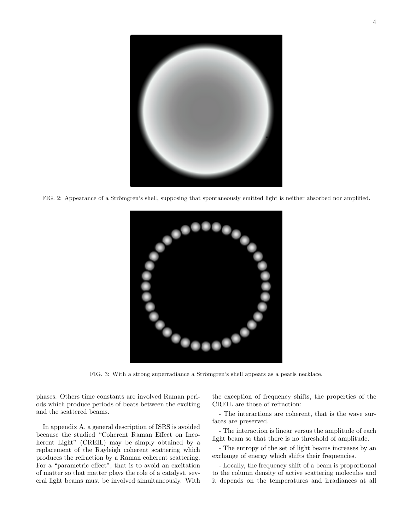

FIG. 2: Appearance of a Strömgren's shell, supposing that spontaneously emitted light is neither absorbed nor amplified.

<span id="page-3-0"></span>

FIG. 3: With a strong superradiance a Strömgren's shell appears as a pearls necklace.

<span id="page-3-1"></span>phases. Others time constants are involved Raman periods which produce periods of beats between the exciting and the scattered beams.

In appendix A, a general description of ISRS is avoided because the studied "Coherent Raman Effect on Incoherent Light" (CREIL) may be simply obtained by a replacement of the Rayleigh coherent scattering which produces the refraction by a Raman coherent scattering. For a "parametric effect", that is to avoid an excitation of matter so that matter plays the role of a catalyst, several light beams must be involved simultaneously. With the exception of frequency shifts, the properties of the CREIL are those of refraction:

- The interactions are coherent, that is the wave surfaces are preserved.

- The interaction is linear versus the amplitude of each light beam so that there is no threshold of amplitude.

- The entropy of the set of light beams increases by an exchange of energy which shifts their frequencies.

- Locally, the frequency shift of a beam is proportional to the column density of active scattering molecules and it depends on the temperatures and irradiances at all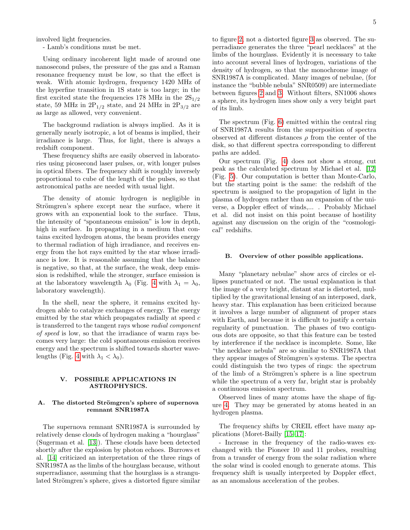involved light frequencies.

- Lamb's conditions must be met.

Using ordinary incoherent light made of around one nanosecond pulses, the pressure of the gas and a Raman resonance frequency must be low, so that the effect is weak. With atomic hydrogen, frequency 1420 MHz of the hyperfine transition in 1S state is too large; in the first excited state the frequencies 178 MHz in the  $2S_{1/2}$ state, 59 MHz in  $2P_{1/2}$  state, and 24 MHz in  $2P_{3/2}$  are as large as allowed, very convenient.

The background radiation is always implied. As it is generally nearly isotropic, a lot of beams is implied, their irradiance is large. Thus, for light, there is always a redshift component.

These frequency shifts are easily observed in laboratories using picosecond laser pulses, or, with longer pulses in optical fibers. The frequency shift is roughly inversely proportional to cube of the length of the pulses, so that astronomical paths are needed with usual light.

The density of atomic hydrogen is negligible in Strömgren's sphere except near the surface, where it grows with an exponential look to the surface. Thus, the intensity of "spontaneous emission" is low in depth, high in surface. In propagating in a medium that contains excited hydrogen atoms, the beam provides energy to thermal radiation of high irradiance, and receives energy from the hot rays emitted by the star whose irradiance is low. It is reasonable assuming that the balance is negative, so that, at the surface, the weak, deep emission is redshifted, while the stronger, surface emission is at the laboratory wavelength  $\lambda_0$  (Fig. [4](#page-5-0) with  $\lambda_1 = \lambda_0$ , laboratory wavelength).

In the shell, near the sphere, it remains excited hydrogen able to catalyze exchanges of energy. The energy emitted by the star which propagates radially at speed c is transferred to the tangent rays whose radial component of speed is low, so that the irradiance of warm rays becomes very large: the cold spontaneous emission receives energy and the spectrum is shifted towards shorter wave-lengths (Fig. [4](#page-5-0) with  $\lambda_1 < \lambda_0$ ).

# <span id="page-4-0"></span>V. POSSIBLE APPLICATIONS IN ASTROPHYSICS.

## A. The distorted Strömgren's sphere of supernova remnant SNR1987A

The supernova remnant SNR1987A is surrounded by relatively dense clouds of hydrogen making a "hourglass" (Sugerman et al. [\[13\]](#page-8-11)). These clouds have been detected shortly after the explosion by photon echoes. Burrows et al. [\[14\]](#page-8-12) criticized an interpretation of the three rings of SNR1987A as the limbs of the hourglass because, without superradiance, assuming that the hourglass is a strangulated Strömgren's sphere, gives a distorted figure similar to figure [2,](#page-3-0) not a distorted figure [3](#page-3-1) as observed. The superradiance generates the three "pearl necklaces" at the limbs of the hourglass. Evidently it is necessary to take into account several lines of hydrogen, variations of the density of hydrogen, so that the monochrome image of SNR1987A is complicated. Many images of nebulae, (for instance the "bubble nebula" SNR0509) are intermediate between figures [2](#page-3-0) and [3.](#page-3-1) Without filters, SN1006 shows a sphere, its hydrogen lines show only a very bright part of its limb.

The spectrum (Fig. [6\)](#page-6-0) emitted within the central ring of SNR1987A results from the superposition of spectra observed at different distances  $\rho$  from the center of the disk, so that different spectra corresponding to different paths are added.

Our spectrum (Fig. [4\)](#page-5-0) does not show a strong, cut peak as the calculated spectrum by Michael et al. [\[12\]](#page-8-13) (Fig. [5\)](#page-5-1). Our computation is better than Monte-Carlo, but the starting point is the same: the redshift of the spectrum is assigned to the propagation of light in the plasma of hydrogen rather than an expansion of the universe, a Doppler effect of winds,... . Probably Michael et al. did not insist on this point because of hostility against any discussion on the origin of the "cosmological" redshifts.

## B. Overview of other possible applications.

Many "planetary nebulae" show arcs of circles or ellipses punctuated or not. The usual explanation is that the image of a very bright, distant star is distorted, multiplied by the gravitational lensing of an interposed, dark, heavy star. This explanation has been criticized because it involves a large number of alignment of proper stars with Earth, and because it is difficult to justify a certain regularity of punctuation. The phases of two contiguous dots are opposite, so that this feature can be tested by interference if the necklace is incomplete. Some, like "the necklace nebula" are so similar to SNR1987A that they appear images of Strömgren's systems. The spectra could distinguish the two types of rings: the spectrum of the limb of a Strömgren's sphere is a line spectrum while the spectrum of a very far, bright star is probably a continuous emission spectrum.

Observed lines of many atoms have the shape of figure [4.](#page-5-0) They may be generated by atoms heated in an hydrogen plasma.

The frequency shifts by CREIL effect have many applications (Moret-Bailly [\[15–](#page-8-14)[17\]](#page-8-15):

- Increase in the frequency of the radio-waves exchanged with the Pioneer 10 and 11 probes, resulting from a transfer of energy from the solar radiation where the solar wind is cooled enough to generate atoms. This frequency shift is usually interpreted by Doppler effect, as an anomalous acceleration of the probes.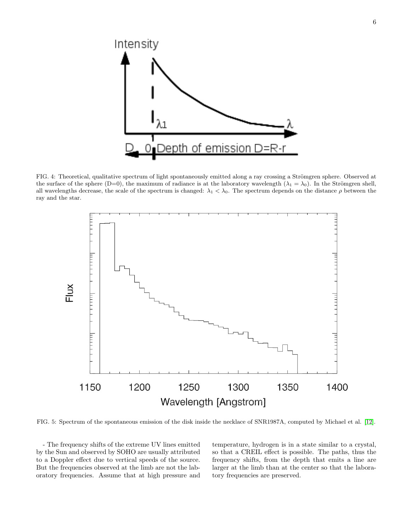

<span id="page-5-0"></span>FIG. 4: Theoretical, qualitative spectrum of light spontaneously emitted along a ray crossing a Strömgren sphere. Observed at the surface of the sphere (D=0), the maximum of radiance is at the laboratory wavelength ( $\lambda_1 = \lambda_0$ ). In the Strömgren shell, all wavelengths decrease, the scale of the spectrum is changed:  $\lambda_1 < \lambda_0$ . The spectrum depends on the distance  $\rho$  between the ray and the star.



<span id="page-5-1"></span>FIG. 5: Spectrum of the spontaneous emission of the disk inside the necklace of SNR1987A, computed by Michael et al. [\[12\]](#page-8-13).

- The frequency shifts of the extreme UV lines emitted by the Sun and observed by SOHO are usually attributed to a Doppler effect due to vertical speeds of the source. But the frequencies observed at the limb are not the laboratory frequencies. Assume that at high pressure and temperature, hydrogen is in a state similar to a crystal, so that a CREIL effect is possible. The paths, thus the frequency shifts, from the depth that emits a line are larger at the limb than at the center so that the laboratory frequencies are preserved.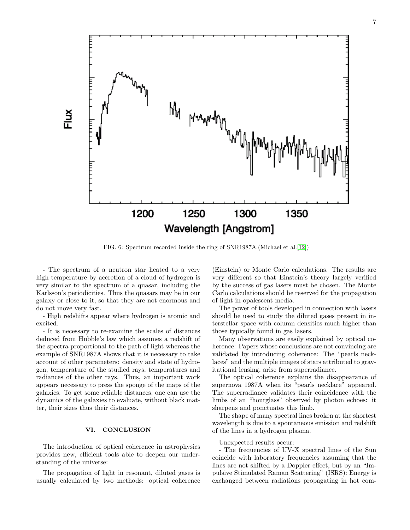

<span id="page-6-0"></span>FIG. 6: Spectrum recorded inside the ring of SNR1987A.(Michael et al. [\[12\]](#page-8-13))

- The spectrum of a neutron star heated to a very high temperature by accretion of a cloud of hydrogen is very similar to the spectrum of a quasar, including the Karlsson's periodicities. Thus the quasars may be in our galaxy or close to it, so that they are not enormous and do not move very fast.

- High redshifts appear where hydrogen is atomic and excited.

- It is necessary to re-examine the scales of distances deduced from Hubble's law which assumes a redshift of the spectra proportional to the path of light whereas the example of SNR1987A shows that it is necessary to take account of other parameters: density and state of hydrogen, temperature of the studied rays, temperatures and radiances of the other rays. Thus, an important work appears necessary to press the sponge of the maps of the galaxies. To get some reliable distances, one can use the dynamics of the galaxies to evaluate, without black matter, their sizes thus their distances.

# VI. CONCLUSION

The introduction of optical coherence in astrophysics provides new, efficient tools able to deepen our understanding of the universe:

The propagation of light in resonant, diluted gases is usually calculated by two methods: optical coherence

(Einstein) or Monte Carlo calculations. The results are very different so that Einstein's theory largely verified by the success of gas lasers must be chosen. The Monte Carlo calculations should be reserved for the propagation of light in opalescent media.

The power of tools developed in connection with lasers should be used to study the diluted gases present in interstellar space with column densities much higher than those typically found in gas lasers.

Many observations are easily explained by optical coherence: Papers whose conclusions are not convincing are validated by introducing coherence: The "pearls necklaces" and the multiple images of stars attributed to gravitational lensing, arise from superradiance.

The optical coherence explains the disappearance of supernova 1987A when its "pearls necklace" appeared. The superradiance validates their coincidence with the limbs of an "hourglass" observed by photon echoes: it sharpens and ponctuates this limb.

The shape of many spectral lines broken at the shortest wavelength is due to a spontaneous emission and redshift of the lines in a hydrogen plasma.

## Unexpected results occur:

- The frequencies of UV-X spectral lines of the Sun coincide with laboratory frequencies assuming that the lines are not shifted by a Doppler effect, but by an "Impulsive Stimulated Raman Scattering" (ISRS): Energy is exchanged between radiations propagating in hot com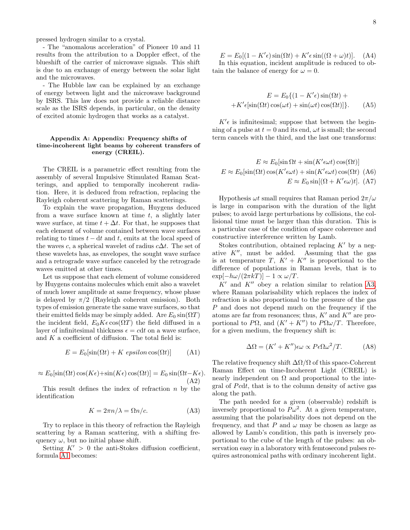pressed hydrogen similar to a crystal.

- The "anomalous acceleration" of Pioneer 10 and 11 results from the attribution to a Doppler effect, of the blueshift of the carrier of microwave signals. This shift is due to an exchange of energy between the solar light and the microwaves.

- The Hubble law can be explained by an exchange of energy between light and the microwave background by ISRS. This law does not provide a reliable distance scale as the ISRS depends, in particular, on the density of excited atomic hydrogen that works as a catalyst.

## Appendix A: Appendix: Frequency shifts of time-incoherent light beams by coherent transfers of energy (CREIL).

The CREIL is a parametric effect resulting from the assembly of several Impulsive Stimulated Raman Scatterings, and applied to temporally incoherent radiation. Here, it is deduced from refraction, replacing the Rayleigh coherent scattering by Raman scatterings.

To explain the wave propagation, Huygens deduced from a wave surface known at time  $t$ , a slightly later wave surface, at time  $t + \Delta t$ . For that, he supposes that each element of volume contained between wave surfaces relating to times  $t - dt$  and t, emits at the local speed of the waves c, a spherical wavelet of radius  $c\Delta t$ . The set of these wavelets has, as envelopes, the sought wave surface and a retrograde wave surface canceled by the retrograde waves emitted at other times.

Let us suppose that each element of volume considered by Huygens contains molecules which emit also a wavelet of much lower amplitude at same frequency, whose phase is delayed by  $\pi/2$  (Rayleigh coherent emission). Both types of emission generate the same wave surfaces, so that their emitted fields may be simply added. Are  $E_0 \sin(\Omega T)$ the incident field,  $E_0K\epsilon\cos(\Omega T)$  the field diffused in a layer of infinitesimal thickness  $\epsilon = cdt$  on a wave surface, and  $K$  a coefficient of diffusion. The total field is:

<span id="page-7-0"></span>
$$
E = E_0[\sin(\Omega t) + K \epsilon \text{psilon} \cos(\Omega t)] \tag{A1}
$$

$$
\approx E_0[\sin(\Omega t)\cos(K\epsilon) + \sin(K\epsilon)\cos(\Omega t)] = E_0\sin(\Omega t - K\epsilon).
$$
\n(A2)

This result defines the index of refraction  $n$  by the identification

<span id="page-7-1"></span>
$$
K = 2\pi n/\lambda = \Omega n/c.
$$
 (A3)

Try to replace in this theory of refraction the Rayleigh scattering by a Raman scattering, with a shifting frequency  $\omega$ , but no initial phase shift.

Setting  $K' > 0$  the anti-Stokes diffusion coefficient, formula [A1](#page-7-0) becomes:

 $E = E_0[(1 - K'\epsilon)\sin(\Omega t) + K'\epsilon\sin((\Omega + \omega)t)].$  (A4) In this equation, incident amplitude is reduced to obtain the balance of energy for  $\omega = 0$ .

$$
E = E_0 \{ (1 - K'\epsilon) \sin(\Omega t) + K'\epsilon[\sin(\Omega t) \cos(\omega t) + \sin(\omega t) \cos(\Omega t)] \}.
$$
 (A5)

 $K'$ e is infinitesimal; suppose that between the beginning of a pulse at  $t = 0$  and its end,  $\omega t$  is small; the second term cancels with the third, and the last one transforms:

$$
E \approx E_0[\sin \Omega t + \sin(K' \epsilon \omega t) \cos(\Omega t)]
$$
  

$$
E \approx E_0[\sin(\Omega t) \cos(K' \epsilon \omega t) + \sin(K' \epsilon \omega t) \cos(\Omega t) \text{ (A6)}
$$
  

$$
E \approx E_0 \sin[(\Omega + K' \epsilon \omega) t]. \text{ (A7)}
$$

Hypothesis  $\omega t$  small requires that Raman period  $2\pi/\omega$ is large in comparison with the duration of the light pulses; to avoid large perturbations by collisions, the collisional time must be larger than this duration. This is a particular case of the condition of space coherence and constructive interference written by Lamb.

Stokes contribution, obtained replacing  $K'$  by a negative  $K''$ , must be added. Assuming that the gas is at temperature T,  $K' + K''$  is proportional to the difference of populations in Raman levels, that is to  $\exp[-h\omega/(2\pi kT)] - 1 \propto \omega/T.$ 

 $K'$  and  $K''$  obey a relation similar to relation [A3,](#page-7-1) where Raman polarisability which replaces the index of refraction is also proportional to the pressure of the gas P and does not depend much on the frequency if the atoms are far from resonances; thus,  $K'$  and  $K''$  are proportional to P $\Omega$ , and  $(K' + K'')$  to P $\Omega \omega/T$ . Therefore, for a given medium, the frequency shift is:

$$
\Delta\Omega = (K' + K'')\epsilon\omega \propto P\epsilon\Omega\omega^2/T.
$$
 (A8)

The relative frequency shift  $\Delta\Omega/\Omega$  of this space-Coherent Raman Effect on time-Incoherent Light (CREIL) is nearly independent on  $\Omega$  and proportional to the integral of  $Pcdt$ , that is to the column density of active gas along the path.

The path needed for a given (observable) redshift is inversely proportional to  $P\omega^2$ . At a given temperature, assuming that the polarisability does not depend on the frequency, and that P and  $\omega$  may be chosen as large as allowed by Lamb's condition, this path is inversely proportional to the cube of the length of the pulses: an observation easy in a laboratory with femtosecond pulses requires astronomical paths with ordinary incoherent light.